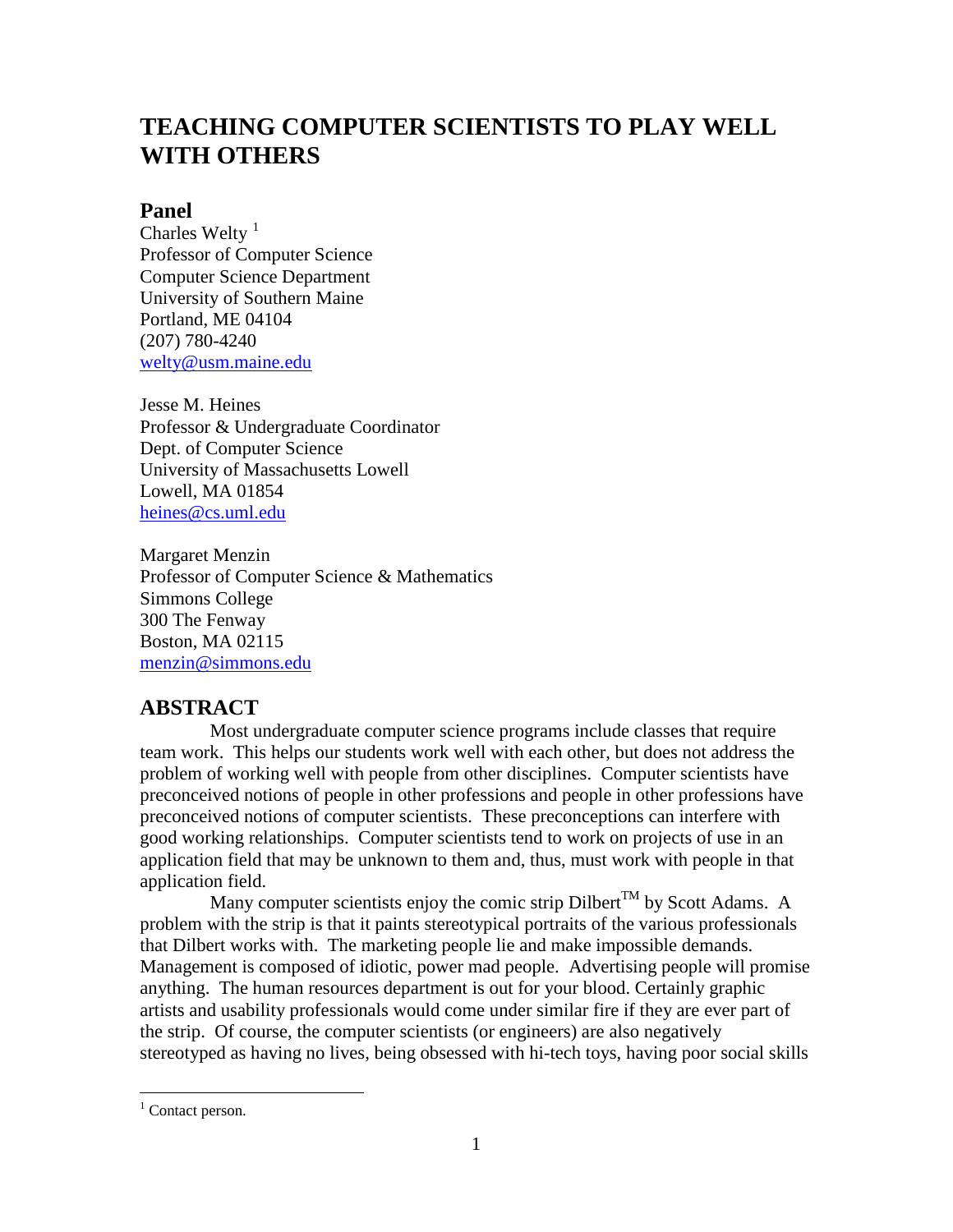# **TEACHING COMPUTER SCIENTISTS TO PLAY WELL WITH OTHERS**

## **Panel**

Charles Welty<sup>[1](#page-0-0)</sup> (207) 780-4240 Professor of Computer Science Computer Science Department University of Southern Maine Portland, ME 04104 [welty@usm.maine.edu](mailto:welty@usm.maine.edu)

Jesse M. Heines Professor & Undergraduate Coordinator Dept. of Computer Science University of Massachusetts Lowell Lowell, MA 01854 [heines@cs.uml.edu](mailto:heines@cs.uml.edu)

Margaret Menzin Professor of Computer Science & Mathematics Simmons College 300 The Fenway Boston, MA 02115 [menzin@simmons.edu](mailto:menzin@simmons.edu)

## **ABSTRACT**

 Most undergraduate computer science programs include classes that require team work. This helps our students work well with each other, but does not address the problem of working well with people from other disciplines. Computer scientists have preconceived notions of people in other professions and people in other professions have preconceived notions of computer scientists. These preconceptions can interfere with good working relationships. Computer scientists tend to work on projects of use in an application field that may be unknown to them and, thus, must work with people in that application field.

Many computer scientists enjoy the comic strip Dilbert<sup>TM</sup> by Scott Adams. A problem with the strip is that it paints stereotypical portraits of the various professionals that Dilbert works with. The marketing people lie and make impossible demands. Management is composed of idiotic, power mad people. Advertising people will promise anything. The human resources department is out for your blood. Certainly graphic artists and usability professionals would come under similar fire if they are ever part of the strip. Of course, the computer scientists (or engineers) are also negatively stereotyped as having no lives, being obsessed with hi-tech toys, having poor social skills

<span id="page-0-0"></span> $1$  Contact person.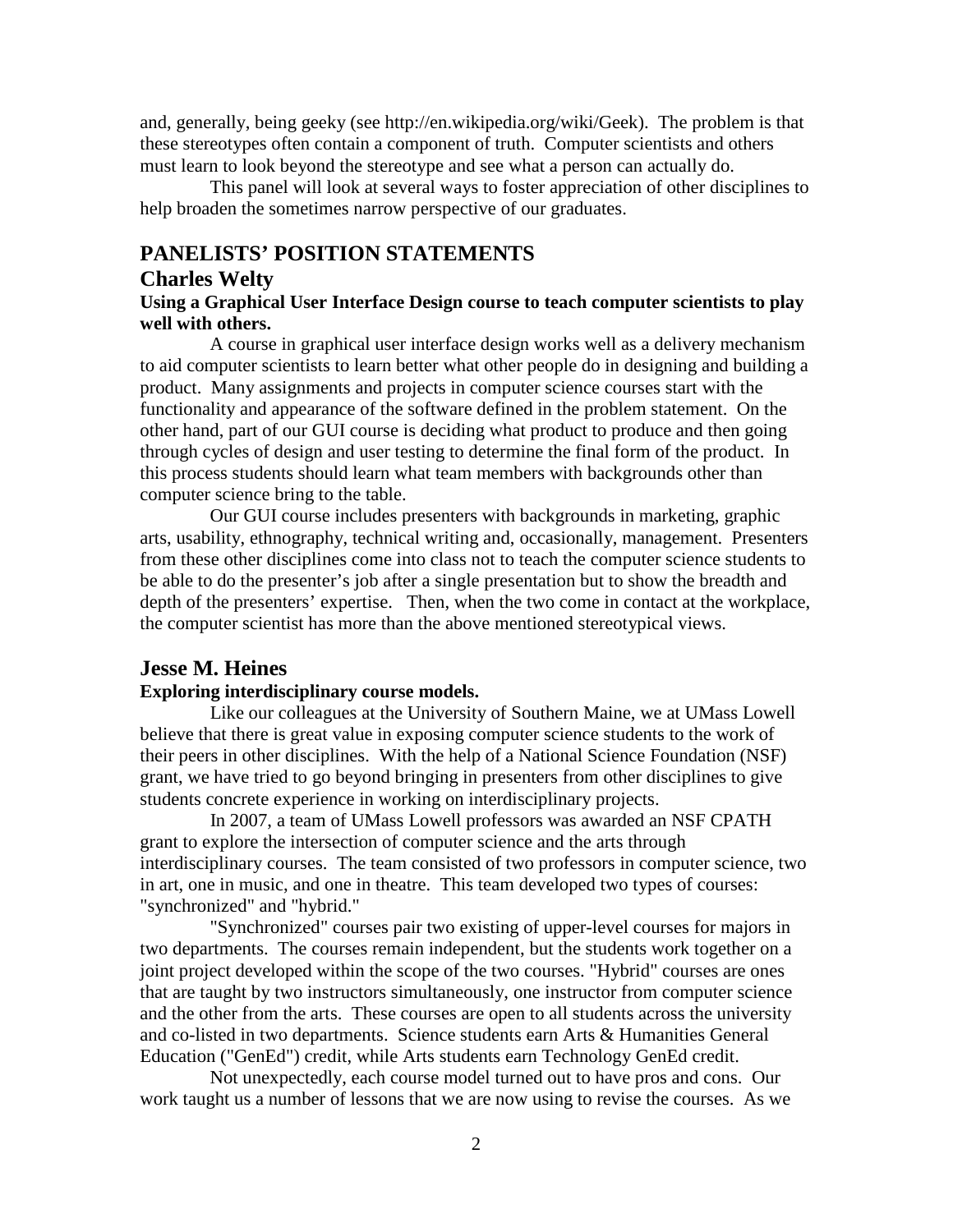and, generally, being geeky (see http://en.wikipedia.org/wiki/Geek). The problem is that these stereotypes often contain a component of truth. Computer scientists and others must learn to look beyond the stereotype and see what a person can actually do.

 This panel will look at several ways to foster appreciation of other disciplines to help broaden the sometimes narrow perspective of our graduates.

## **PANELISTS' POSITION STATEMENTS**

#### **Charles Welty**

#### **Using a Graphical User Interface Design course to teach computer scientists to play well with others.**

 A course in graphical user interface design works well as a delivery mechanism to aid computer scientists to learn better what other people do in designing and building a product. Many assignments and projects in computer science courses start with the functionality and appearance of the software defined in the problem statement. On the other hand, part of our GUI course is deciding what product to produce and then going through cycles of design and user testing to determine the final form of the product. In this process students should learn what team members with backgrounds other than computer science bring to the table.

 Our GUI course includes presenters with backgrounds in marketing, graphic arts, usability, ethnography, technical writing and, occasionally, management. Presenters from these other disciplines come into class not to teach the computer science students to be able to do the presenter's job after a single presentation but to show the breadth and depth of the presenters' expertise. Then, when the two come in contact at the workplace, the computer scientist has more than the above mentioned stereotypical views.

## **Jesse M. Heines**

#### **Exploring interdisciplinary course models.**

 Like our colleagues at the University of Southern Maine, we at UMass Lowell believe that there is great value in exposing computer science students to the work of their peers in other disciplines. With the help of a National Science Foundation (NSF) grant, we have tried to go beyond bringing in presenters from other disciplines to give students concrete experience in working on interdisciplinary projects.

 In 2007, a team of UMass Lowell professors was awarded an NSF CPATH grant to explore the intersection of computer science and the arts through interdisciplinary courses. The team consisted of two professors in computer science, two in art, one in music, and one in theatre. This team developed two types of courses: "synchronized" and "hybrid."

 "Synchronized" courses pair two existing of upper-level courses for majors in two departments. The courses remain independent, but the students work together on a joint project developed within the scope of the two courses. "Hybrid" courses are ones that are taught by two instructors simultaneously, one instructor from computer science and the other from the arts. These courses are open to all students across the university and co-listed in two departments. Science students earn Arts & Humanities General Education ("GenEd") credit, while Arts students earn Technology GenEd credit.

 Not unexpectedly, each course model turned out to have pros and cons. Our work taught us a number of lessons that we are now using to revise the courses. As we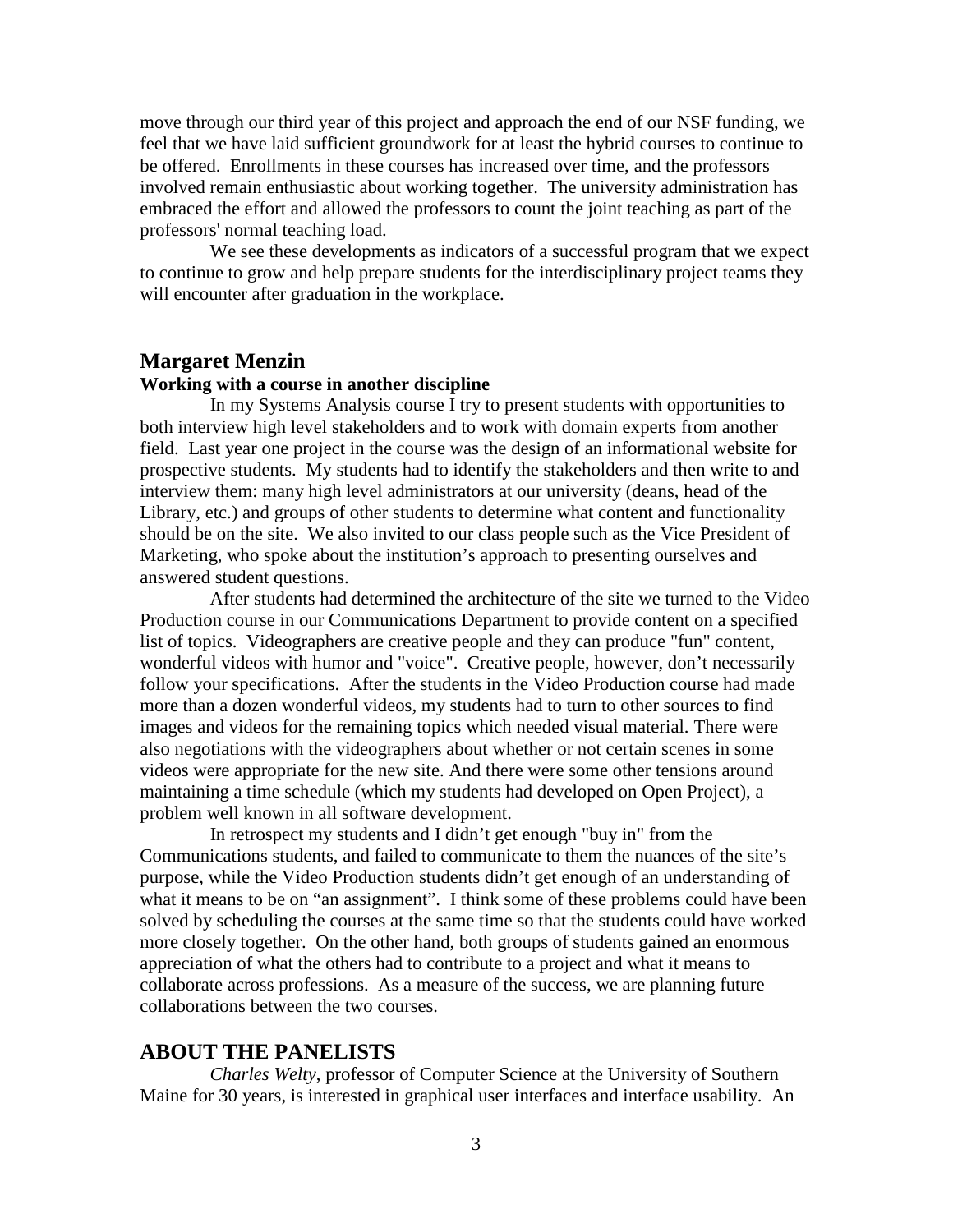move through our third year of this project and approach the end of our NSF funding, we feel that we have laid sufficient groundwork for at least the hybrid courses to continue to be offered. Enrollments in these courses has increased over time, and the professors involved remain enthusiastic about working together. The university administration has embraced the effort and allowed the professors to count the joint teaching as part of the professors' normal teaching load.

 We see these developments as indicators of a successful program that we expect to continue to grow and help prepare students for the interdisciplinary project teams they will encounter after graduation in the workplace.

#### **Margaret Menzin**

#### **Working with a course in another discipline**

 In my Systems Analysis course I try to present students with opportunities to both interview high level stakeholders and to work with domain experts from another field. Last year one project in the course was the design of an informational website for prospective students. My students had to identify the stakeholders and then write to and interview them: many high level administrators at our university (deans, head of the Library, etc.) and groups of other students to determine what content and functionality should be on the site. We also invited to our class people such as the Vice President of Marketing, who spoke about the institution's approach to presenting ourselves and answered student questions.

 After students had determined the architecture of the site we turned to the Video Production course in our Communications Department to provide content on a specified list of topics. Videographers are creative people and they can produce "fun" content, wonderful videos with humor and "voice". Creative people, however, don't necessarily follow your specifications. After the students in the Video Production course had made more than a dozen wonderful videos, my students had to turn to other sources to find images and videos for the remaining topics which needed visual material. There were also negotiations with the videographers about whether or not certain scenes in some videos were appropriate for the new site. And there were some other tensions around maintaining a time schedule (which my students had developed on Open Project), a problem well known in all software development.

 In retrospect my students and I didn't get enough "buy in" from the Communications students, and failed to communicate to them the nuances of the site's purpose, while the Video Production students didn't get enough of an understanding of what it means to be on "an assignment". I think some of these problems could have been solved by scheduling the courses at the same time so that the students could have worked more closely together. On the other hand, both groups of students gained an enormous appreciation of what the others had to contribute to a project and what it means to collaborate across professions. As a measure of the success, we are planning future collaborations between the two courses.

### **ABOUT THE PANELISTS**

 *Charles Welty*, professor of Computer Science at the University of Southern Maine for 30 years, is interested in graphical user interfaces and interface usability. An